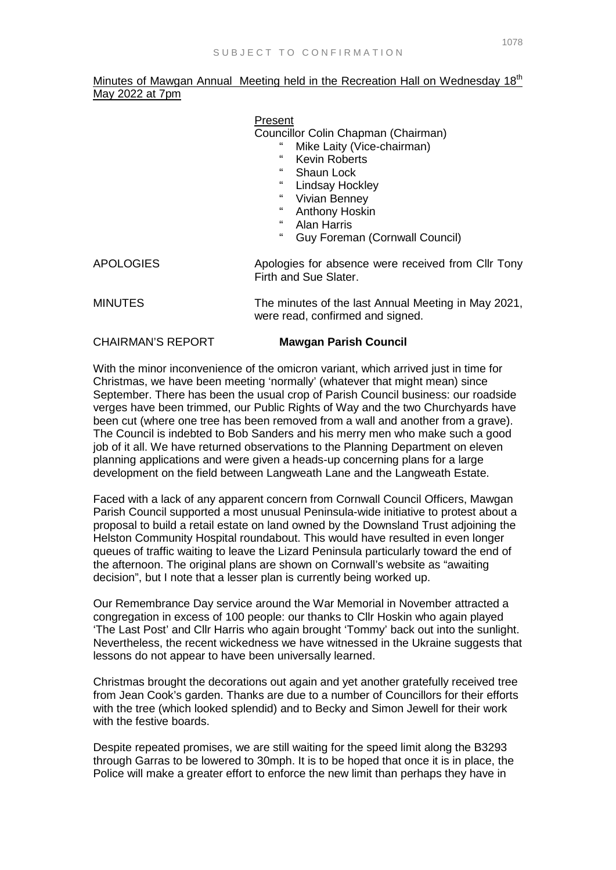Minutes of Mawgan Annual Meeting held in the Recreation Hall on Wednesday 18<sup>th</sup> May 2022 at 7pm

## Present

Councillor Colin Chapman (Chairman)

- Mike Laity (Vice-chairman)
- " Kevin Roberts
- Shaun Lock
- " Lindsay Hockley<br>" Wirian Benney
- " Vivian Benney
- " Anthony Hoskin
- " Alan Harris
- Guy Foreman (Cornwall Council)
- APOLOGIES **Apologies for absence were received from Cllr Tony** Firth and Sue Slater.
- MINUTES The minutes of the last Annual Meeting in May 2021, were read, confirmed and signed.

## CHAIRMAN'S REPORT **Mawgan Parish Council**

With the minor inconvenience of the omicron variant, which arrived just in time for Christmas, we have been meeting 'normally' (whatever that might mean) since September. There has been the usual crop of Parish Council business: our roadside verges have been trimmed, our Public Rights of Way and the two Churchyards have been cut (where one tree has been removed from a wall and another from a grave). The Council is indebted to Bob Sanders and his merry men who make such a good job of it all. We have returned observations to the Planning Department on eleven planning applications and were given a heads-up concerning plans for a large development on the field between Langweath Lane and the Langweath Estate.

Faced with a lack of any apparent concern from Cornwall Council Officers, Mawgan Parish Council supported a most unusual Peninsula-wide initiative to protest about a proposal to build a retail estate on land owned by the Downsland Trust adjoining the Helston Community Hospital roundabout. This would have resulted in even longer queues of traffic waiting to leave the Lizard Peninsula particularly toward the end of the afternoon. The original plans are shown on Cornwall's website as "awaiting decision", but I note that a lesser plan is currently being worked up.

Our Remembrance Day service around the War Memorial in November attracted a congregation in excess of 100 people: our thanks to Cllr Hoskin who again played 'The Last Post' and Cllr Harris who again brought 'Tommy' back out into the sunlight. Nevertheless, the recent wickedness we have witnessed in the Ukraine suggests that lessons do not appear to have been universally learned.

Christmas brought the decorations out again and yet another gratefully received tree from Jean Cook's garden. Thanks are due to a number of Councillors for their efforts with the tree (which looked splendid) and to Becky and Simon Jewell for their work with the festive boards.

Despite repeated promises, we are still waiting for the speed limit along the B3293 through Garras to be lowered to 30mph. It is to be hoped that once it is in place, the Police will make a greater effort to enforce the new limit than perhaps they have in